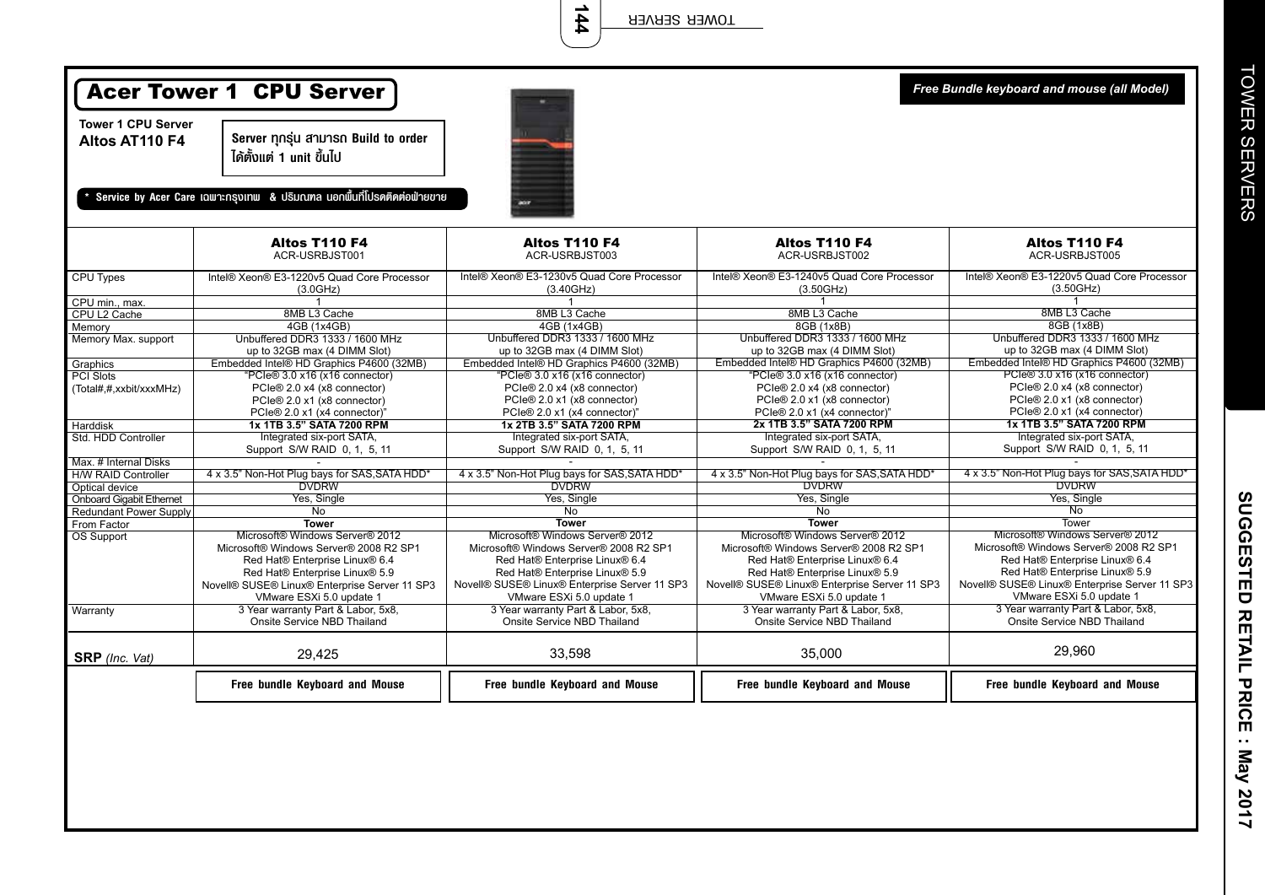|                                             | <b>Acer Tower 1 CPU Server</b><br>Free Bundle keyboard and mouse (all Model) |                                                         |                                                         |                                                         |  |  |
|---------------------------------------------|------------------------------------------------------------------------------|---------------------------------------------------------|---------------------------------------------------------|---------------------------------------------------------|--|--|
| <b>Tower 1 CPU Server</b><br>Altos AT110 F4 | Server ทุกรุ่น สามารถ Build to order<br>ได้ตั้งแต่ 1 unit ขึ้นไป             |                                                         |                                                         |                                                         |  |  |
|                                             | Service by Acer Care เฉพาะกรุงเทพ & ปริมณฑล นอกพื้นที่โปรดติดต่อฟ่ายขาย      |                                                         |                                                         |                                                         |  |  |
|                                             | Altos T110 F4<br>ACR-USRBJST001                                              | Altos T110 F4<br>ACR-USRBJST003                         | Altos T110 F4<br>ACR-USRBJST002                         | Altos T110 F4<br>ACR-USRBJST005                         |  |  |
| CPU Types                                   | Intel® Xeon® E3-1220v5 Quad Core Processor<br>(3.0GHz)                       | Intel® Xeon® E3-1230v5 Quad Core Processor<br>(3.40GHz) | Intel® Xeon® E3-1240v5 Quad Core Processor<br>(3.50GHz) | Intel® Xeon® E3-1220v5 Quad Core Processor<br>(3.50GHz) |  |  |
| CPU min., max.                              | $\mathbf{1}$                                                                 | 1                                                       | $\overline{1}$                                          | $\overline{\mathbf{1}}$                                 |  |  |
| CPU L2 Cache                                | 8MB L3 Cache                                                                 | 8MB L3 Cache                                            | 8MB L3 Cache                                            | 8MB L3 Cache                                            |  |  |
| Memory                                      | 4GB (1x4GB)                                                                  | 4GB (1x4GB)                                             | 8GB (1x8B)                                              | 8GB (1x8B)                                              |  |  |
| Memory Max. support                         | Unbuffered DDR3 1333 / 1600 MHz                                              | Unbuffered DDR3 1333 / 1600 MHz                         | Unbuffered DDR3 1333 / 1600 MHz                         | Unbuffered DDR3 1333 / 1600 MHz                         |  |  |
|                                             | up to 32GB max (4 DIMM Slot)                                                 | up to 32GB max (4 DIMM Slot)                            | up to 32GB max (4 DIMM Slot)                            | up to 32GB max (4 DIMM Slot)                            |  |  |
| Graphics                                    | Embedded Intel® HD Graphics P4600 (32MB)                                     | Embedded Intel® HD Graphics P4600 (32MB)                | Embedded Intel® HD Graphics P4600 (32MB)                | Embedded Intel® HD Graphics P4600 (32MB)                |  |  |
| <b>PCI Slots</b>                            | "PCIe® 3.0 x16 (x16 connector)                                               | "PCIe® 3.0 x16 (x16 connector)                          | "PCIe® 3.0 x16 (x16 connector)                          | PCIe® 3.0 x16 (x16 connector)                           |  |  |
| (Total#,#,xxbit/xxxMHz)                     | PCIe® 2.0 x4 (x8 connector)                                                  | PCIe® 2.0 x4 (x8 connector)                             | PCIe® 2.0 x4 (x8 connector)                             | PCIe® 2.0 x4 (x8 connector)                             |  |  |
|                                             | PCIe® 2.0 x1 (x8 connector)                                                  | PCIe® 2.0 x1 (x8 connector)                             | PCle® 2.0 x1 (x8 connector)                             | PCIe® 2.0 x1 (x8 connector)                             |  |  |
|                                             | PCIe® 2.0 x1 (x4 connector)"                                                 | PCIe® 2.0 x1 (x4 connector)"                            | PCIe® 2.0 x1 (x4 connector)'                            | PCIe® 2.0 x1 (x4 connector)                             |  |  |
| Harddisk                                    | 1x 1TB 3.5" SATA 7200 RPM                                                    | 1x 2TB 3.5" SATA 7200 RPM                               | 2x 1TB 3.5" SATA 7200 RPM                               | 1x 1TB 3.5" SATA 7200 RPM                               |  |  |
| Std. HDD Controller                         | Integrated six-port SATA,                                                    | Integrated six-port SATA,                               | Integrated six-port SATA,                               | Integrated six-port SATA,                               |  |  |
|                                             | Support S/W RAID 0, 1, 5, 11                                                 | Support S/W RAID 0, 1, 5, 11                            | Support S/W RAID 0, 1, 5, 11                            | Support S/W RAID 0, 1, 5, 11                            |  |  |
| Max. # Internal Disks                       |                                                                              |                                                         |                                                         |                                                         |  |  |
| <b>H/W RAID Controller</b>                  | 4 x 3.5" Non-Hot Plug bays for SAS, SATA HDD*                                | 4 x 3.5" Non-Hot Plug bays for SAS, SATA HDD*           | 4 x 3.5" Non-Hot Plug bays for SAS, SATA HDD*           | 4 x 3.5" Non-Hot Plug bays for SAS, SATA HDD*           |  |  |
| Optical device                              | <b>DVDRW</b>                                                                 | <b>DVDRW</b>                                            | <b>DVDRW</b>                                            | <b>DVDRW</b>                                            |  |  |
| <b>Onboard Gigabit Ethernet</b>             | Yes, Single                                                                  | Yes, Single                                             | Yes, Single                                             | Yes, Single                                             |  |  |
| <b>Redundant Power Supply</b>               | No.                                                                          | No                                                      | <b>No</b>                                               | No                                                      |  |  |
| From Factor                                 | <b>Tower</b>                                                                 | <b>Tower</b>                                            | <b>Tower</b>                                            | Tower                                                   |  |  |
| OS Support                                  | Microsoft® Windows Server® 2012                                              | Microsoft® Windows Server® 2012                         | Microsoft® Windows Server® 2012                         | Microsoft® Windows Server® 2012                         |  |  |
|                                             | Microsoft® Windows Server® 2008 R2 SP1                                       | Microsoft® Windows Server® 2008 R2 SP1                  | Microsoft® Windows Server® 2008 R2 SP1                  | Microsoft® Windows Server® 2008 R2 SP1                  |  |  |
|                                             | Red Hat® Enterprise Linux® 6.4                                               | Red Hat® Enterprise Linux® 6.4                          | Red Hat® Enterprise Linux® 6.4                          | Red Hat® Enterprise Linux® 6.4                          |  |  |
|                                             | Red Hat® Enterprise Linux® 5.9                                               | Red Hat® Enterprise Linux® 5.9                          | Red Hat® Enterprise Linux® 5.9                          | Red Hat® Enterprise Linux® 5.9                          |  |  |
|                                             | Novell® SUSE® Linux® Enterprise Server 11 SP3                                | Novell® SUSE® Linux® Enterprise Server 11 SP3           | Novell® SUSE® Linux® Enterprise Server 11 SP3           | Novell® SUSE® Linux® Enterprise Server 11 SP3           |  |  |
|                                             | VMware ESXi 5.0 update 1                                                     | VMware ESXi 5.0 update 1                                | VMware ESXi 5.0 update 1                                | VMware ESXi 5.0 update 1                                |  |  |
| Warranty                                    | 3 Year warranty Part & Labor, 5x8,                                           | 3 Year warranty Part & Labor, 5x8,                      | 3 Year warranty Part & Labor, 5x8,                      | 3 Year warranty Part & Labor, 5x8,                      |  |  |
|                                             | Onsite Service NBD Thailand                                                  | Onsite Service NBD Thailand                             | Onsite Service NBD Thailand                             | Onsite Service NBD Thailand                             |  |  |

29,425 33,598 35,000

**Free bundle Keyboard and Mouse Free bundle Keyboard and Mouse Free bundle Keyboard and Mouse Free bundle Keyboard and Mouse**

**SRP** *(Inc. Vat)*

SUGGESTED RETAIL PRICE : May 2017 **SUGGESTED RETAIL PRICE : May 2017**

29,960

**144** TOWER SERVER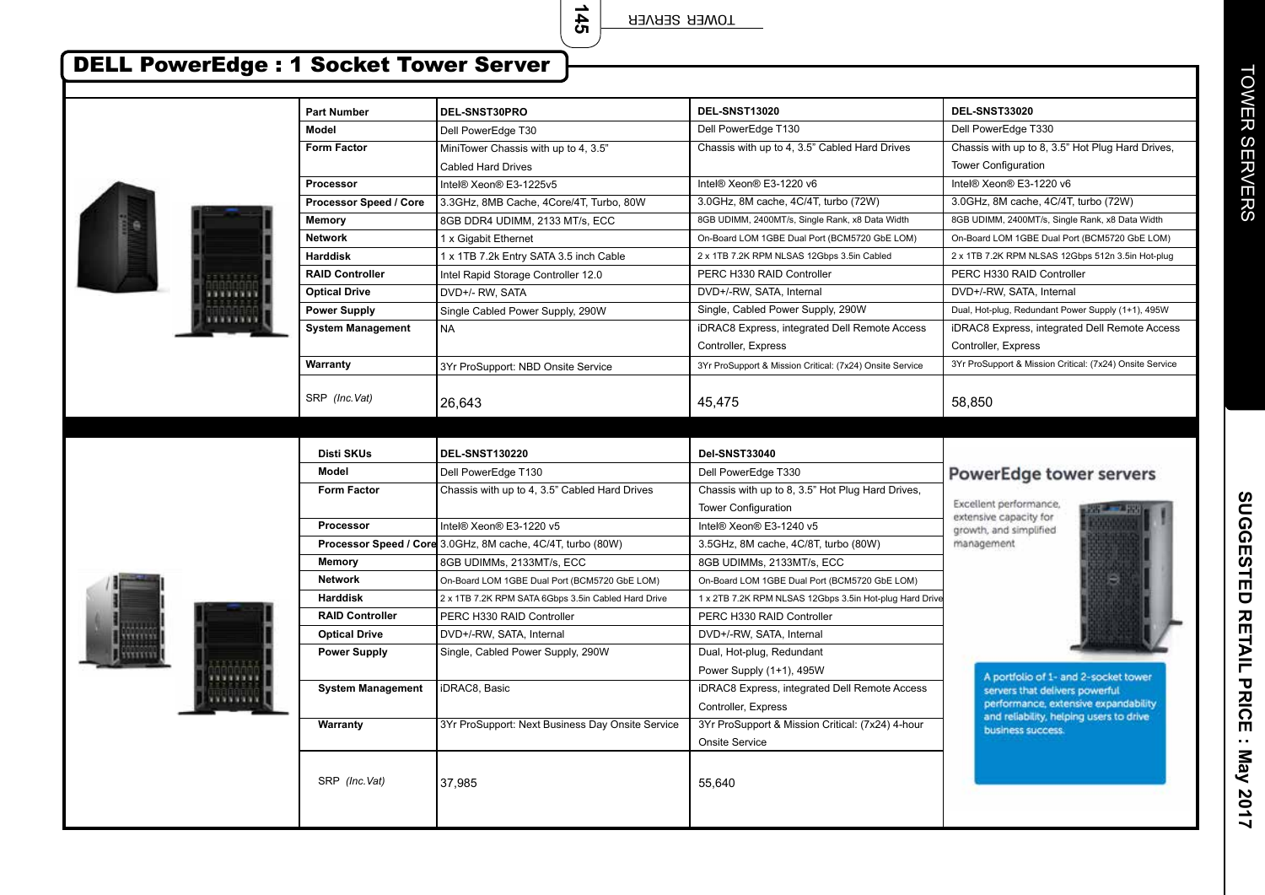**145**

TOWER SERVER

## DELL PowerEdge : 1 Socket Tower Server

|                | <b>Part Number</b>       | DEL-SNST30PRO                                               | DEL-SNST13020                                            | DEL-SNST33020                                                                   |
|----------------|--------------------------|-------------------------------------------------------------|----------------------------------------------------------|---------------------------------------------------------------------------------|
|                | <b>Model</b>             | Dell PowerEdge T30                                          | Dell PowerEdge T130                                      | Dell PowerEdge T330                                                             |
|                | <b>Form Factor</b>       | MiniTower Chassis with up to 4, 3.5"                        | Chassis with up to 4, 3.5" Cabled Hard Drives            | Chassis with up to 8, 3.5" Hot Plug Hard Drives,                                |
|                |                          | <b>Cabled Hard Drives</b>                                   |                                                          | <b>Tower Configuration</b>                                                      |
|                | <b>Processor</b>         | Intel® Xeon® E3-1225v5                                      | Intel® Xeon® E3-1220 v6                                  | Intel® Xeon® E3-1220 v6                                                         |
|                | Processor Speed / Core   | 3.3GHz, 8MB Cache, 4Core/4T, Turbo, 80W                     | 3.0GHz, 8M cache, 4C/4T, turbo (72W)                     | 3.0GHz, 8M cache, 4C/4T, turbo (72W)                                            |
|                | <b>Memory</b>            | 8GB DDR4 UDIMM, 2133 MT/s, ECC                              | 8GB UDIMM, 2400MT/s, Single Rank, x8 Data Width          | 8GB UDIMM, 2400MT/s, Single Rank, x8 Data Width                                 |
|                | <b>Network</b>           | 1 x Gigabit Ethernet                                        | On-Board LOM 1GBE Dual Port (BCM5720 GbE LOM)            | On-Board LOM 1GBE Dual Port (BCM5720 GbE LOM)                                   |
|                | <b>Harddisk</b>          | 1 x 1TB 7.2k Entry SATA 3.5 inch Cable                      | 2 x 1TB 7.2K RPM NLSAS 12Gbps 3.5in Cabled               | 2 x 1TB 7.2K RPM NLSAS 12Gbps 512n 3.5in Hot-plug                               |
|                | <b>RAID Controller</b>   | Intel Rapid Storage Controller 12.0                         | PERC H330 RAID Controller                                | PERC H330 RAID Controller                                                       |
| 33333          | <b>Optical Drive</b>     | DVD+/- RW, SATA                                             | DVD+/-RW, SATA, Internal                                 | DVD+/-RW, SATA, Internal                                                        |
|                | <b>Power Supply</b>      | Single Cabled Power Supply, 290W                            | Single, Cabled Power Supply, 290W                        | Dual, Hot-plug, Redundant Power Supply (1+1), 495W                              |
|                | <b>System Management</b> | <b>NA</b>                                                   | iDRAC8 Express, integrated Dell Remote Access            | iDRAC8 Express, integrated Dell Remote Access                                   |
|                |                          |                                                             | Controller, Express                                      | Controller, Express                                                             |
|                | Warranty                 | 3Yr ProSupport: NBD Onsite Service                          | 3Yr ProSupport & Mission Critical: (7x24) Onsite Service | 3Yr ProSupport & Mission Critical: (7x24) Onsite Service                        |
|                |                          |                                                             |                                                          |                                                                                 |
|                | SRP (Inc.Vat)            | 26.643                                                      | 45,475                                                   | 58.850                                                                          |
|                |                          |                                                             |                                                          |                                                                                 |
|                |                          |                                                             |                                                          |                                                                                 |
|                | <b>Disti SKUs</b>        | <b>DEL-SNST130220</b>                                       | Del-SNST33040                                            |                                                                                 |
|                | <b>Model</b>             | Dell PowerEdge T130                                         | Dell PowerEdge T330                                      | PowerEdge tower servers                                                         |
|                | <b>Form Factor</b>       | Chassis with up to 4, 3.5" Cabled Hard Drives               | Chassis with up to 8, 3.5" Hot Plug Hard Drives,         |                                                                                 |
|                |                          |                                                             | <b>Tower Configuration</b>                               | Excellent performance.<br>extensive capacity for                                |
|                | Processor                | Intel® Xeon® E3-1220 v5                                     | Intel® Xeon® E3-1240 v5                                  | growth, and simplified                                                          |
|                |                          | Processor Speed / Core 3.0GHz, 8M cache, 4C/4T, turbo (80W) | 3.5GHz, 8M cache, 4C/8T, turbo (80W)                     | management                                                                      |
|                | Memory                   | 8GB UDIMMs, 2133MT/s, ECC                                   | 8GB UDIMMs, 2133MT/s, ECC                                |                                                                                 |
|                | <b>Network</b>           | On-Board LOM 1GBE Dual Port (BCM5720 GbE LOM)               | On-Board LOM 1GBE Dual Port (BCM5720 GbE LOM)            |                                                                                 |
|                | <b>Harddisk</b>          | 2 x 1TB 7.2K RPM SATA 6Gbps 3.5in Cabled Hard Drive         | 1 x 2TB 7.2K RPM NLSAS 12Gbps 3.5in Hot-plug Hard Drive  |                                                                                 |
|                | <b>RAID Controller</b>   | PERC H330 RAID Controller                                   | PERC H330 RAID Controller                                |                                                                                 |
| <b>NYTTIIN</b> | <b>Optical Drive</b>     | DVD+/-RW, SATA, Internal                                    | DVD+/-RW, SATA, Internal                                 |                                                                                 |
| mmm            | <b>Power Supply</b>      | Single, Cabled Power Supply, 290W                           | Dual, Hot-plug, Redundant                                |                                                                                 |
|                |                          |                                                             | Power Supply (1+1), 495W                                 | A portfolio of 1- and 2-socket tower                                            |
|                | <b>System Management</b> | iDRAC8, Basic                                               | iDRAC8 Express, integrated Dell Remote Access            | servers that delivers powerful.                                                 |
|                |                          |                                                             | Controller, Express                                      | performance, extensive expandability<br>and reliability, helping users to drive |
|                | Warranty                 | 3Yr ProSupport: Next Business Day Onsite Service            | 3Yr ProSupport & Mission Critical: (7x24) 4-hour         | business success.                                                               |
|                |                          |                                                             | Onsite Service                                           |                                                                                 |
|                | SRP (Inc.Vat)            | 37.985                                                      | 55,640                                                   |                                                                                 |
|                |                          |                                                             |                                                          |                                                                                 |

**TOWER SERVERS** TOWER SERVERS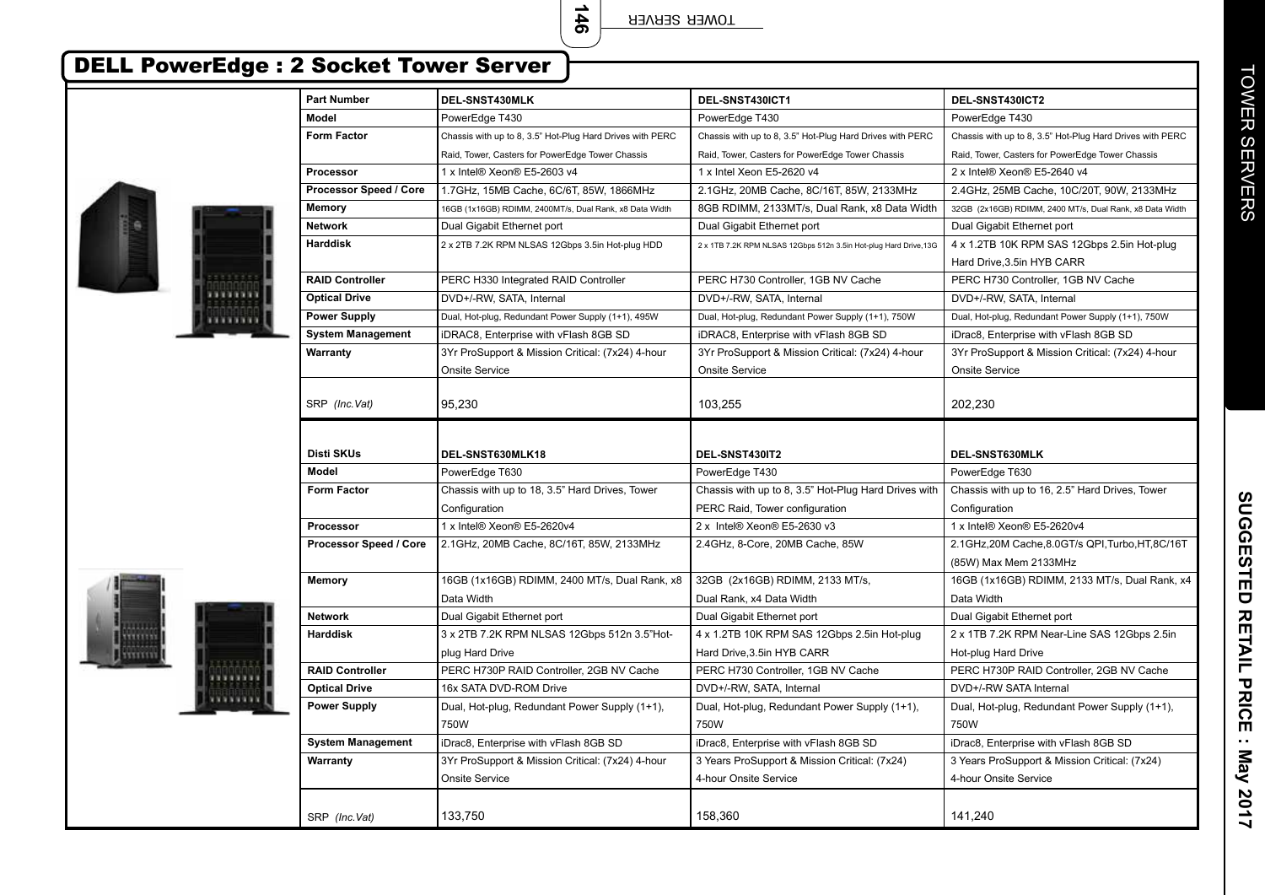**146**

TOWER SERVER

## DELL PowerEdge : 2 Socket Tower Server

Ī

**HELLER** 

| Model<br>PowerEdge T430<br>PowerEdge T430<br>PowerEdge T430<br><b>Form Factor</b><br>Chassis with up to 8, 3.5" Hot-Plug Hard Drives with PERC<br>Chassis with up to 8, 3.5" Hot-Plug Hard Drives with PERC<br>Chassis with up to 8, 3.5" Hot-Plug Hard Drives with PERC<br>Raid, Tower, Casters for PowerEdge Tower Chassis<br>Raid, Tower, Casters for PowerEdge Tower Chassis<br>Raid, Tower, Casters for PowerEdge Tower Chassis<br>Processor<br>1 x Intel® Xeon® E5-2603 v4<br>1 x Intel Xeon E5-2620 v4<br>2 x Intel® Xeon® E5-2640 v4<br>Processor Speed / Core<br>1.7GHz, 15MB Cache, 6C/6T, 85W, 1866MHz<br>2.1GHz, 20MB Cache, 8C/16T, 85W, 2133MHz<br>2.4GHz, 25MB Cache, 10C/20T, 90W, 2133MHz<br>8GB RDIMM, 2133MT/s, Dual Rank, x8 Data Width<br>Memory<br>16GB (1x16GB) RDIMM, 2400MT/s, Dual Rank, x8 Data Width<br>32GB (2x16GB) RDIMM, 2400 MT/s, Dual Rank, x8 Data Width<br><b>Network</b><br>Dual Gigabit Ethernet port<br>Dual Gigabit Ethernet port<br>Dual Gigabit Ethernet port<br><b>Harddisk</b><br>4 x 1.2TB 10K RPM SAS 12Gbps 2.5in Hot-plug<br>2 x 2TB 7.2K RPM NLSAS 12Gbps 3.5in Hot-plug HDD<br>2 x 1TB 7.2K RPM NLSAS 12Gbps 512n 3.5in Hot-plug Hard Drive, 13G<br>Hard Drive, 3.5in HYB CARR<br><b>RAID Controller</b><br>PERC H330 Integrated RAID Controller<br>PERC H730 Controller, 1GB NV Cache<br>PERC H730 Controller, 1GB NV Cache<br>,,,,,,,,<br>DVD+/-RW, SATA, Internal<br>DVD+/-RW, SATA, Internal<br><b>Optical Drive</b><br>DVD+/-RW, SATA, Internal |  |
|---------------------------------------------------------------------------------------------------------------------------------------------------------------------------------------------------------------------------------------------------------------------------------------------------------------------------------------------------------------------------------------------------------------------------------------------------------------------------------------------------------------------------------------------------------------------------------------------------------------------------------------------------------------------------------------------------------------------------------------------------------------------------------------------------------------------------------------------------------------------------------------------------------------------------------------------------------------------------------------------------------------------------------------------------------------------------------------------------------------------------------------------------------------------------------------------------------------------------------------------------------------------------------------------------------------------------------------------------------------------------------------------------------------------------------------------------------------------------------------------------------|--|
|                                                                                                                                                                                                                                                                                                                                                                                                                                                                                                                                                                                                                                                                                                                                                                                                                                                                                                                                                                                                                                                                                                                                                                                                                                                                                                                                                                                                                                                                                                         |  |
|                                                                                                                                                                                                                                                                                                                                                                                                                                                                                                                                                                                                                                                                                                                                                                                                                                                                                                                                                                                                                                                                                                                                                                                                                                                                                                                                                                                                                                                                                                         |  |
|                                                                                                                                                                                                                                                                                                                                                                                                                                                                                                                                                                                                                                                                                                                                                                                                                                                                                                                                                                                                                                                                                                                                                                                                                                                                                                                                                                                                                                                                                                         |  |
|                                                                                                                                                                                                                                                                                                                                                                                                                                                                                                                                                                                                                                                                                                                                                                                                                                                                                                                                                                                                                                                                                                                                                                                                                                                                                                                                                                                                                                                                                                         |  |
|                                                                                                                                                                                                                                                                                                                                                                                                                                                                                                                                                                                                                                                                                                                                                                                                                                                                                                                                                                                                                                                                                                                                                                                                                                                                                                                                                                                                                                                                                                         |  |
|                                                                                                                                                                                                                                                                                                                                                                                                                                                                                                                                                                                                                                                                                                                                                                                                                                                                                                                                                                                                                                                                                                                                                                                                                                                                                                                                                                                                                                                                                                         |  |
|                                                                                                                                                                                                                                                                                                                                                                                                                                                                                                                                                                                                                                                                                                                                                                                                                                                                                                                                                                                                                                                                                                                                                                                                                                                                                                                                                                                                                                                                                                         |  |
|                                                                                                                                                                                                                                                                                                                                                                                                                                                                                                                                                                                                                                                                                                                                                                                                                                                                                                                                                                                                                                                                                                                                                                                                                                                                                                                                                                                                                                                                                                         |  |
|                                                                                                                                                                                                                                                                                                                                                                                                                                                                                                                                                                                                                                                                                                                                                                                                                                                                                                                                                                                                                                                                                                                                                                                                                                                                                                                                                                                                                                                                                                         |  |
|                                                                                                                                                                                                                                                                                                                                                                                                                                                                                                                                                                                                                                                                                                                                                                                                                                                                                                                                                                                                                                                                                                                                                                                                                                                                                                                                                                                                                                                                                                         |  |
|                                                                                                                                                                                                                                                                                                                                                                                                                                                                                                                                                                                                                                                                                                                                                                                                                                                                                                                                                                                                                                                                                                                                                                                                                                                                                                                                                                                                                                                                                                         |  |
| WWW<br><b>Power Supply</b><br>Dual, Hot-plug, Redundant Power Supply (1+1), 495W<br>Dual, Hot-plug, Redundant Power Supply (1+1), 750W<br>Dual, Hot-plug, Redundant Power Supply (1+1), 750W                                                                                                                                                                                                                                                                                                                                                                                                                                                                                                                                                                                                                                                                                                                                                                                                                                                                                                                                                                                                                                                                                                                                                                                                                                                                                                            |  |
| <b>System Management</b><br>iDRAC8, Enterprise with vFlash 8GB SD<br>iDRAC8, Enterprise with vFlash 8GB SD<br>iDrac8, Enterprise with vFlash 8GB SD                                                                                                                                                                                                                                                                                                                                                                                                                                                                                                                                                                                                                                                                                                                                                                                                                                                                                                                                                                                                                                                                                                                                                                                                                                                                                                                                                     |  |
| Warranty<br>3Yr ProSupport & Mission Critical: (7x24) 4-hour<br>3Yr ProSupport & Mission Critical: (7x24) 4-hour<br>3Yr ProSupport & Mission Critical: (7x24) 4-hour                                                                                                                                                                                                                                                                                                                                                                                                                                                                                                                                                                                                                                                                                                                                                                                                                                                                                                                                                                                                                                                                                                                                                                                                                                                                                                                                    |  |
| Onsite Service<br>Onsite Service<br>Onsite Service                                                                                                                                                                                                                                                                                                                                                                                                                                                                                                                                                                                                                                                                                                                                                                                                                                                                                                                                                                                                                                                                                                                                                                                                                                                                                                                                                                                                                                                      |  |
|                                                                                                                                                                                                                                                                                                                                                                                                                                                                                                                                                                                                                                                                                                                                                                                                                                                                                                                                                                                                                                                                                                                                                                                                                                                                                                                                                                                                                                                                                                         |  |
| SRP (Inc.Vat)<br>95,230<br>103,255<br>202,230                                                                                                                                                                                                                                                                                                                                                                                                                                                                                                                                                                                                                                                                                                                                                                                                                                                                                                                                                                                                                                                                                                                                                                                                                                                                                                                                                                                                                                                           |  |
|                                                                                                                                                                                                                                                                                                                                                                                                                                                                                                                                                                                                                                                                                                                                                                                                                                                                                                                                                                                                                                                                                                                                                                                                                                                                                                                                                                                                                                                                                                         |  |
| Disti SKUs<br>DEL-SNST630MLK18<br>DEL-SNST430IT2<br>DEL-SNST630MLK                                                                                                                                                                                                                                                                                                                                                                                                                                                                                                                                                                                                                                                                                                                                                                                                                                                                                                                                                                                                                                                                                                                                                                                                                                                                                                                                                                                                                                      |  |
| Model<br>PowerEdge T630<br>PowerEdge T430<br>PowerEdge T630                                                                                                                                                                                                                                                                                                                                                                                                                                                                                                                                                                                                                                                                                                                                                                                                                                                                                                                                                                                                                                                                                                                                                                                                                                                                                                                                                                                                                                             |  |
| <b>Form Factor</b><br>Chassis with up to 18, 3.5" Hard Drives, Tower<br>Chassis with up to 8, 3.5" Hot-Plug Hard Drives with<br>Chassis with up to 16, 2.5" Hard Drives, Tower                                                                                                                                                                                                                                                                                                                                                                                                                                                                                                                                                                                                                                                                                                                                                                                                                                                                                                                                                                                                                                                                                                                                                                                                                                                                                                                          |  |
| Configuration<br>PERC Raid, Tower configuration<br>Configuration                                                                                                                                                                                                                                                                                                                                                                                                                                                                                                                                                                                                                                                                                                                                                                                                                                                                                                                                                                                                                                                                                                                                                                                                                                                                                                                                                                                                                                        |  |
| Processor<br>1 x Intel® Xeon® E5-2620v4<br>1 x Intel® Xeon® E5-2620v4<br>2 x Intel® Xeon® E5-2630 v3                                                                                                                                                                                                                                                                                                                                                                                                                                                                                                                                                                                                                                                                                                                                                                                                                                                                                                                                                                                                                                                                                                                                                                                                                                                                                                                                                                                                    |  |
| Processor Speed / Core<br>2.1GHz, 20MB Cache, 8C/16T, 85W, 2133MHz<br>2.4GHz, 8-Core, 20MB Cache, 85W<br>2.1GHz,20M Cache,8.0GT/s QPI,Turbo,HT,8C/16T                                                                                                                                                                                                                                                                                                                                                                                                                                                                                                                                                                                                                                                                                                                                                                                                                                                                                                                                                                                                                                                                                                                                                                                                                                                                                                                                                   |  |
| (85W) Max Mem 2133MHz                                                                                                                                                                                                                                                                                                                                                                                                                                                                                                                                                                                                                                                                                                                                                                                                                                                                                                                                                                                                                                                                                                                                                                                                                                                                                                                                                                                                                                                                                   |  |
| <b>Memory</b><br>16GB (1x16GB) RDIMM, 2400 MT/s, Dual Rank, x8<br>32GB (2x16GB) RDIMM, 2133 MT/s,<br>16GB (1x16GB) RDIMM, 2133 MT/s, Dual Rank, x4                                                                                                                                                                                                                                                                                                                                                                                                                                                                                                                                                                                                                                                                                                                                                                                                                                                                                                                                                                                                                                                                                                                                                                                                                                                                                                                                                      |  |
| Data Width<br>Dual Rank, x4 Data Width<br>Data Width                                                                                                                                                                                                                                                                                                                                                                                                                                                                                                                                                                                                                                                                                                                                                                                                                                                                                                                                                                                                                                                                                                                                                                                                                                                                                                                                                                                                                                                    |  |
| <b>Network</b><br>Dual Gigabit Ethernet port<br>Dual Gigabit Ethernet port<br>Dual Gigabit Ethernet port                                                                                                                                                                                                                                                                                                                                                                                                                                                                                                                                                                                                                                                                                                                                                                                                                                                                                                                                                                                                                                                                                                                                                                                                                                                                                                                                                                                                |  |
| <b>Harddisk</b><br>3 x 2TB 7.2K RPM NLSAS 12Gbps 512n 3.5"Hot-<br>4 x 1.2TB 10K RPM SAS 12Gbps 2.5in Hot-plug<br>2 x 1TB 7.2K RPM Near-Line SAS 12Gbps 2.5in                                                                                                                                                                                                                                                                                                                                                                                                                                                                                                                                                                                                                                                                                                                                                                                                                                                                                                                                                                                                                                                                                                                                                                                                                                                                                                                                            |  |
| Hard Drive, 3.5in HYB CARR<br>plug Hard Drive<br>Hot-plug Hard Drive                                                                                                                                                                                                                                                                                                                                                                                                                                                                                                                                                                                                                                                                                                                                                                                                                                                                                                                                                                                                                                                                                                                                                                                                                                                                                                                                                                                                                                    |  |
| <b>RAID Controller</b><br>PERC H730P RAID Controller, 2GB NV Cache<br>PERC H730P RAID Controller, 2GB NV Cache<br>PERC H730 Controller, 1GB NV Cache                                                                                                                                                                                                                                                                                                                                                                                                                                                                                                                                                                                                                                                                                                                                                                                                                                                                                                                                                                                                                                                                                                                                                                                                                                                                                                                                                    |  |
| 16x SATA DVD-ROM Drive<br>DVD+/-RW, SATA, Internal<br>DVD+/-RW SATA Internal<br><b>Optical Drive</b>                                                                                                                                                                                                                                                                                                                                                                                                                                                                                                                                                                                                                                                                                                                                                                                                                                                                                                                                                                                                                                                                                                                                                                                                                                                                                                                                                                                                    |  |
| Dual, Hot-plug, Redundant Power Supply (1+1),<br>Dual, Hot-plug, Redundant Power Supply (1+1),<br><b>Power Supply</b><br>Dual, Hot-plug, Redundant Power Supply (1+1),                                                                                                                                                                                                                                                                                                                                                                                                                                                                                                                                                                                                                                                                                                                                                                                                                                                                                                                                                                                                                                                                                                                                                                                                                                                                                                                                  |  |
| 750W<br>750W<br>750W                                                                                                                                                                                                                                                                                                                                                                                                                                                                                                                                                                                                                                                                                                                                                                                                                                                                                                                                                                                                                                                                                                                                                                                                                                                                                                                                                                                                                                                                                    |  |
| <b>System Management</b><br>iDrac8, Enterprise with vFlash 8GB SD<br>iDrac8, Enterprise with vFlash 8GB SD<br>iDrac8, Enterprise with vFlash 8GB SD                                                                                                                                                                                                                                                                                                                                                                                                                                                                                                                                                                                                                                                                                                                                                                                                                                                                                                                                                                                                                                                                                                                                                                                                                                                                                                                                                     |  |
| 3 Years ProSupport & Mission Critical: (7x24)<br>Warranty<br>3Yr ProSupport & Mission Critical: (7x24) 4-hour<br>3 Years ProSupport & Mission Critical: (7x24)                                                                                                                                                                                                                                                                                                                                                                                                                                                                                                                                                                                                                                                                                                                                                                                                                                                                                                                                                                                                                                                                                                                                                                                                                                                                                                                                          |  |
| <b>Onsite Service</b><br>4-hour Onsite Service<br>4-hour Onsite Service                                                                                                                                                                                                                                                                                                                                                                                                                                                                                                                                                                                                                                                                                                                                                                                                                                                                                                                                                                                                                                                                                                                                                                                                                                                                                                                                                                                                                                 |  |
| 158,360<br>141,240<br>133,750<br>SRP (Inc.Vat)                                                                                                                                                                                                                                                                                                                                                                                                                                                                                                                                                                                                                                                                                                                                                                                                                                                                                                                                                                                                                                                                                                                                                                                                                                                                                                                                                                                                                                                          |  |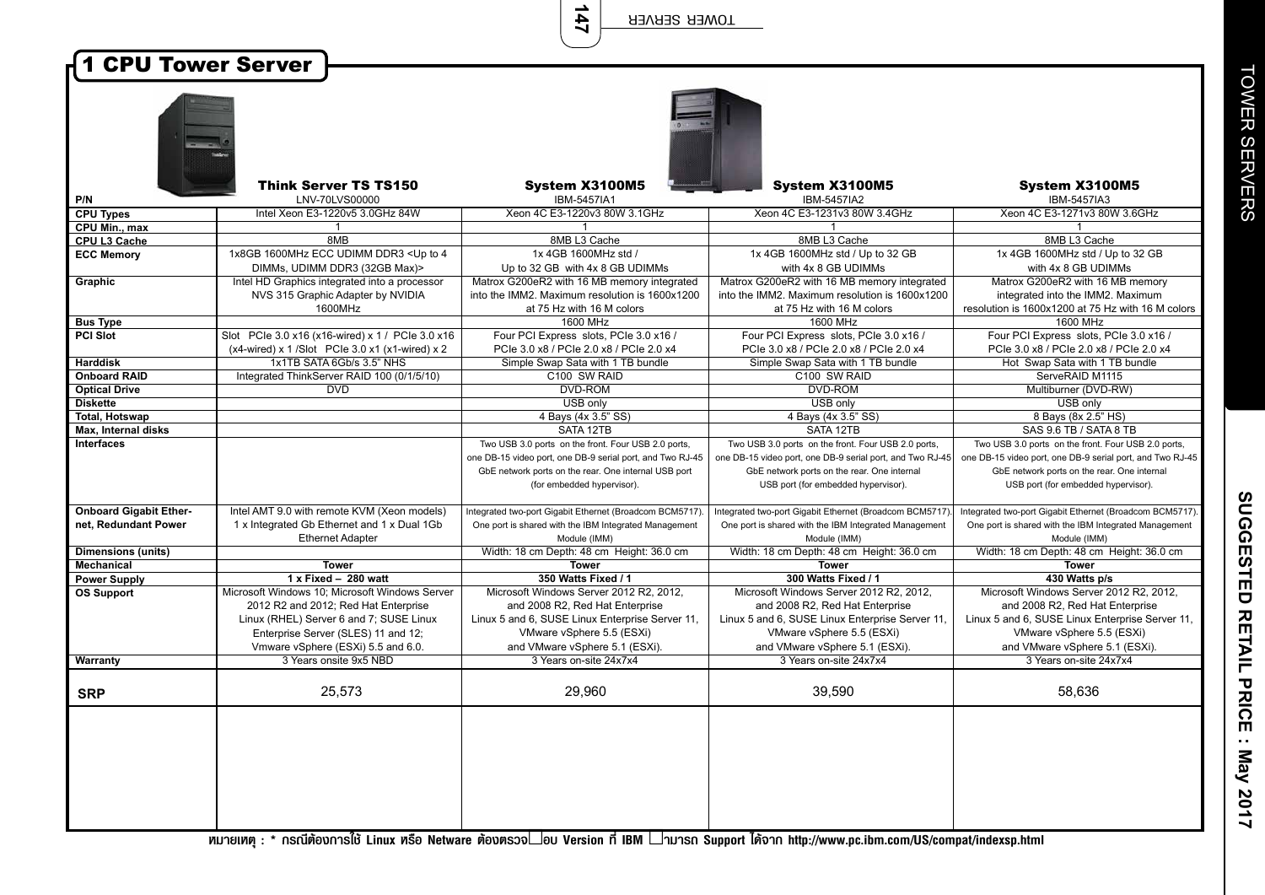**147**

| <b>1 CPU Tower Server</b>     |                                                                                                                                                                          |                                                                                                                                                            |                                                                                                                                                            |                                                                                                                                                            |  |
|-------------------------------|--------------------------------------------------------------------------------------------------------------------------------------------------------------------------|------------------------------------------------------------------------------------------------------------------------------------------------------------|------------------------------------------------------------------------------------------------------------------------------------------------------------|------------------------------------------------------------------------------------------------------------------------------------------------------------|--|
|                               |                                                                                                                                                                          |                                                                                                                                                            |                                                                                                                                                            |                                                                                                                                                            |  |
| P/N                           | <b>Think Server TS TS150</b><br>LNV-70LVS00000                                                                                                                           | System X3100M5<br>IBM-5457IA1                                                                                                                              | <b>System X3100M5</b><br>IBM-5457IA2                                                                                                                       | System X3100M5<br><b>IBM-5457IA3</b>                                                                                                                       |  |
| <b>CPU Types</b>              | Intel Xeon E3-1220v5 3.0GHz 84W                                                                                                                                          | Xeon 4C E3-1220v3 80W 3.1GHz                                                                                                                               | Xeon 4C E3-1231v3 80W 3.4GHz                                                                                                                               | Xeon 4C E3-1271v3 80W 3.6GHz                                                                                                                               |  |
| CPU Min., max                 |                                                                                                                                                                          |                                                                                                                                                            |                                                                                                                                                            |                                                                                                                                                            |  |
| CPU L3 Cache                  | 8MB                                                                                                                                                                      | 8MB L3 Cache                                                                                                                                               | 8MB L3 Cache                                                                                                                                               | 8MB L3 Cache                                                                                                                                               |  |
| <b>ECC Memory</b>             | 1x8GB 1600MHz ECC UDIMM DDR3 < Up to 4<br>DIMMs, UDIMM DDR3 (32GB Max)>                                                                                                  | 1x 4GB 1600MHz std /<br>Up to 32 GB with 4x 8 GB UDIMMs                                                                                                    | 1x 4GB 1600MHz std / Up to 32 GB<br>with 4x 8 GB UDIMMs                                                                                                    | 1x 4GB 1600MHz std / Up to 32 GB<br>with 4x 8 GB UDIMMs                                                                                                    |  |
| Graphic                       | Intel HD Graphics integrated into a processor<br>NVS 315 Graphic Adapter by NVIDIA<br>1600MHz                                                                            | Matrox G200eR2 with 16 MB memory integrated<br>into the IMM2. Maximum resolution is 1600x1200<br>at 75 Hz with 16 M colors                                 | Matrox G200eR2 with 16 MB memory integrated<br>into the IMM2. Maximum resolution is 1600x1200<br>at 75 Hz with 16 M colors                                 | Matrox G200eR2 with 16 MB memory<br>integrated into the IMM2. Maximum<br>resolution is 1600x1200 at 75 Hz with 16 M colors                                 |  |
| <b>Bus Type</b>               |                                                                                                                                                                          | 1600 MHz                                                                                                                                                   | 1600 MHz                                                                                                                                                   | 1600 MHz                                                                                                                                                   |  |
| PCI Slot                      | Slot PCle 3.0 x16 (x16-wired) x 1 / PCle 3.0 x16<br>$(x4-wired)$ x 1/Slot PCIe 3.0 x1 $(x1-wired)$ x 2                                                                   | Four PCI Express slots, PCIe 3.0 x16 /<br>PCIe 3.0 x8 / PCIe 2.0 x8 / PCIe 2.0 x4                                                                          | Four PCI Express slots, PCIe 3.0 x16 /<br>PCle 3.0 x8 / PCle 2.0 x8 / PCle 2.0 x4                                                                          | Four PCI Express slots, PCIe 3.0 x16 /<br>PCle 3.0 x8 / PCle 2.0 x8 / PCle 2.0 x4                                                                          |  |
| <b>Harddisk</b>               | 1x1TB SATA 6Gb/s 3.5" NHS                                                                                                                                                | Simple Swap Sata with 1 TB bundle                                                                                                                          | Simple Swap Sata with 1 TB bundle                                                                                                                          | Hot Swap Sata with 1 TB bundle                                                                                                                             |  |
| <b>Onboard RAID</b>           | Integrated ThinkServer RAID 100 (0/1/5/10)                                                                                                                               | C100 SW RAID                                                                                                                                               | C100 SW RAID                                                                                                                                               | ServeRAID M1115                                                                                                                                            |  |
| <b>Optical Drive</b>          | <b>DVD</b>                                                                                                                                                               | <b>DVD-ROM</b>                                                                                                                                             | <b>DVD-ROM</b>                                                                                                                                             | Multiburner (DVD-RW)                                                                                                                                       |  |
| <b>Diskette</b>               |                                                                                                                                                                          | USB only                                                                                                                                                   | USB only                                                                                                                                                   | USB only                                                                                                                                                   |  |
| <b>Total, Hotswap</b>         |                                                                                                                                                                          | 4 Bays (4x 3.5" SS)                                                                                                                                        | 4 Bays (4x 3.5" SS)                                                                                                                                        | 8 Bays (8x 2.5" HS)                                                                                                                                        |  |
| Max, Internal disks           |                                                                                                                                                                          | SATA 12TB                                                                                                                                                  | SATA 12TB                                                                                                                                                  | SAS 9.6 TB / SATA 8 TB                                                                                                                                     |  |
| <b>Interfaces</b>             |                                                                                                                                                                          | Two USB 3.0 ports on the front. Four USB 2.0 ports,                                                                                                        | Two USB 3.0 ports on the front. Four USB 2.0 ports,                                                                                                        | Two USB 3.0 ports on the front. Four USB 2.0 ports,                                                                                                        |  |
|                               |                                                                                                                                                                          | one DB-15 video port, one DB-9 serial port, and Two RJ-45                                                                                                  | one DB-15 video port, one DB-9 serial port, and Two RJ-45                                                                                                  | one DB-15 video port, one DB-9 serial port, and Two RJ-45                                                                                                  |  |
|                               |                                                                                                                                                                          | GbE network ports on the rear. One internal USB port<br>(for embedded hypervisor).                                                                         | GbE network ports on the rear. One internal<br>USB port (for embedded hypervisor).                                                                         | GbE network ports on the rear. One internal<br>USB port (for embedded hypervisor).                                                                         |  |
|                               |                                                                                                                                                                          |                                                                                                                                                            |                                                                                                                                                            |                                                                                                                                                            |  |
| <b>Onboard Gigabit Ether-</b> | Intel AMT 9.0 with remote KVM (Xeon models)                                                                                                                              | Integrated two-port Gigabit Ethernet (Broadcom BCM5717)                                                                                                    | Integrated two-port Gigabit Ethernet (Broadcom BCM5717)                                                                                                    | Integrated two-port Gigabit Ethernet (Broadcom BCM5717).                                                                                                   |  |
| net, Redundant Power          | 1 x Integrated Gb Ethernet and 1 x Dual 1Gb<br><b>Ethernet Adapter</b>                                                                                                   | One port is shared with the IBM Integrated Management<br>Module (IMM)                                                                                      | One port is shared with the IBM Integrated Management<br>Module (IMM)                                                                                      | One port is shared with the IBM Integrated Management<br>Module (IMM)                                                                                      |  |
| <b>Dimensions (units)</b>     |                                                                                                                                                                          | Width: 18 cm Depth: 48 cm Height: 36.0 cm                                                                                                                  | Width: 18 cm Depth: 48 cm Height: 36.0 cm                                                                                                                  | Width: 18 cm Depth: 48 cm Height: 36.0 cm                                                                                                                  |  |
| Mechanical                    | <b>Tower</b>                                                                                                                                                             | <b>Tower</b>                                                                                                                                               | <b>Tower</b>                                                                                                                                               | <b>Tower</b>                                                                                                                                               |  |
| <b>Power Supply</b>           | $1x$ Fixed - 280 watt                                                                                                                                                    | 350 Watts Fixed / 1                                                                                                                                        | 300 Watts Fixed / 1                                                                                                                                        | 430 Watts p/s                                                                                                                                              |  |
| <b>OS Support</b>             | Microsoft Windows 10; Microsoft Windows Server<br>2012 R2 and 2012; Red Hat Enterprise<br>Linux (RHEL) Server 6 and 7; SUSE Linux<br>Enterprise Server (SLES) 11 and 12; | Microsoft Windows Server 2012 R2, 2012,<br>and 2008 R2, Red Hat Enterprise<br>Linux 5 and 6, SUSE Linux Enterprise Server 11,<br>VMware vSphere 5.5 (ESXi) | Microsoft Windows Server 2012 R2, 2012,<br>and 2008 R2, Red Hat Enterprise<br>Linux 5 and 6, SUSE Linux Enterprise Server 11,<br>VMware vSphere 5.5 (ESXi) | Microsoft Windows Server 2012 R2, 2012,<br>and 2008 R2, Red Hat Enterprise<br>Linux 5 and 6, SUSE Linux Enterprise Server 11,<br>VMware vSphere 5.5 (ESXi) |  |
|                               | Vmware vSphere (ESXi) 5.5 and 6.0.<br>3 Years onsite 9x5 NBD                                                                                                             | and VMware vSphere 5.1 (ESXi).<br>3 Years on-site 24x7x4                                                                                                   | and VMware vSphere 5.1 (ESXi).<br>3 Years on-site 24x7x4                                                                                                   | and VMware vSphere 5.1 (ESXi).<br>3 Years on-site 24x7x4                                                                                                   |  |
| Warranty                      |                                                                                                                                                                          |                                                                                                                                                            |                                                                                                                                                            |                                                                                                                                                            |  |
| <b>SRP</b>                    | 25,573                                                                                                                                                                   | 29,960                                                                                                                                                     | 39,590                                                                                                                                                     | 58,636                                                                                                                                                     |  |
|                               |                                                                                                                                                                          |                                                                                                                                                            |                                                                                                                                                            |                                                                                                                                                            |  |

<del>์ ห</del>มายเหตุ : \* กรณีต้องการใช้ Linux หรือ Netware ต้องตรวจ∟อบ Version ที่ IBM □ามารถ Support ได้จาก http://www.pc.ibm.com/US/compat/indexsp.html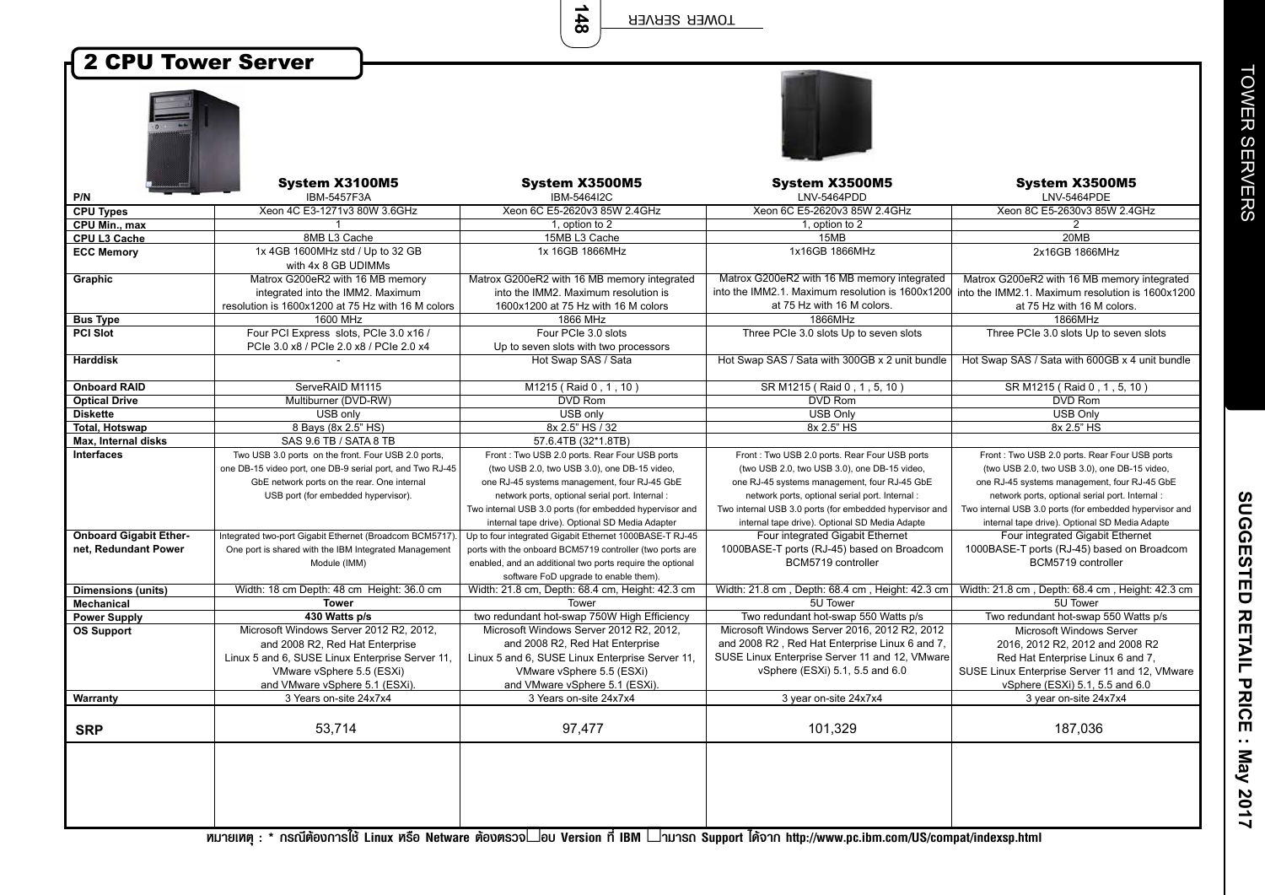**148**

## 2 CPU Tower Server

|                               | System X3100M5                                            | System X3500M5                                            | System X3500M5<br>LNV-5464PDD                           | System X3500M5                                                                                    |
|-------------------------------|-----------------------------------------------------------|-----------------------------------------------------------|---------------------------------------------------------|---------------------------------------------------------------------------------------------------|
| P/N<br><b>CPU Types</b>       | IBM-5457F3A<br>Xeon 4C E3-1271v3 80W 3.6GHz               | IBM-5464I2C<br>Xeon 6C E5-2620v3 85W 2.4GHz               | Xeon 6C E5-2620v3 85W 2.4GHz                            | LNV-5464PDE<br>Xeon 8C E5-2630v3 85W 2.4GHz                                                       |
| CPU Min., max                 | $\mathbf{1}$                                              | 1, option to 2                                            | 1, option to 2                                          | 2                                                                                                 |
| <b>CPU L3 Cache</b>           | 8MB L3 Cache                                              | 15MB L3 Cache                                             | 15MB                                                    | 20MB                                                                                              |
| <b>ECC Memory</b>             | 1x 4GB 1600MHz std / Up to 32 GB                          | 1x 16GB 1866MHz                                           | 1x16GB 1866MHz                                          | 2x16GB 1866MHz                                                                                    |
|                               | with 4x 8 GB UDIMMs                                       |                                                           |                                                         |                                                                                                   |
| Graphic                       | Matrox G200eR2 with 16 MB memory                          | Matrox G200eR2 with 16 MB memory integrated               | Matrox G200eR2 with 16 MB memory integrated             | Matrox G200eR2 with 16 MB memory integrated                                                       |
|                               | integrated into the IMM2. Maximum                         | into the IMM2. Maximum resolution is                      |                                                         | into the IMM2.1. Maximum resolution is 1600x1200 into the IMM2.1. Maximum resolution is 1600x1200 |
|                               | resolution is 1600x1200 at 75 Hz with 16 M colors         | 1600x1200 at 75 Hz with 16 M colors                       | at 75 Hz with 16 M colors.                              | at 75 Hz with 16 M colors.                                                                        |
| <b>Bus Type</b>               | 1600 MHz                                                  | 1866 MHz                                                  | 1866MHz                                                 | 1866MHz                                                                                           |
| <b>PCI Slot</b>               | Four PCI Express slots, PCIe 3.0 x16 /                    | Four PCIe 3.0 slots                                       | Three PCIe 3.0 slots Up to seven slots                  | Three PCIe 3.0 slots Up to seven slots                                                            |
|                               | PCle 3.0 x8 / PCle 2.0 x8 / PCle 2.0 x4                   | Up to seven slots with two processors                     |                                                         |                                                                                                   |
| <b>Harddisk</b>               |                                                           | Hot Swap SAS / Sata                                       | Hot Swap SAS / Sata with 300GB x 2 unit bundle          | Hot Swap SAS / Sata with 600GB x 4 unit bundle                                                    |
|                               |                                                           |                                                           |                                                         |                                                                                                   |
| <b>Onboard RAID</b>           | ServeRAID M1115                                           | M1215 (Raid 0, 1, 10)                                     | SR M1215 (Raid 0, 1, 5, 10)                             | SR M1215 (Raid 0, 1, 5, 10)                                                                       |
| <b>Optical Drive</b>          | Multiburner (DVD-RW)                                      | <b>DVD Rom</b>                                            | <b>DVD Rom</b>                                          | <b>DVD Rom</b>                                                                                    |
| <b>Diskette</b>               | USB only                                                  | USB only                                                  | <b>USB Only</b>                                         | <b>USB Only</b>                                                                                   |
| Total, Hotswap                | 8 Bays (8x 2.5" HS)                                       | 8x 2.5" HS / 32                                           | 8x 2.5" HS                                              | 8x 2.5" HS                                                                                        |
| <b>Max. Internal disks</b>    | SAS 9.6 TB / SATA 8 TB                                    | 57.6.4TB (32*1.8TB)                                       |                                                         |                                                                                                   |
| <b>Interfaces</b>             | Two USB 3.0 ports on the front. Four USB 2.0 ports,       | Front: Two USB 2.0 ports. Rear Four USB ports             | Front: Two USB 2.0 ports. Rear Four USB ports           | Front: Two USB 2.0 ports. Rear Four USB ports                                                     |
|                               | one DB-15 video port, one DB-9 serial port, and Two RJ-45 | (two USB 2.0, two USB 3.0), one DB-15 video,              | (two USB 2.0, two USB 3.0), one DB-15 video,            | (two USB 2.0, two USB 3.0), one DB-15 video,                                                      |
|                               | GbE network ports on the rear. One internal               | one RJ-45 systems management, four RJ-45 GbE              | one RJ-45 systems management, four RJ-45 GbE            | one RJ-45 systems management, four RJ-45 GbE                                                      |
|                               | USB port (for embedded hypervisor).                       | network ports, optional serial port. Internal :           | network ports, optional serial port. Internal :         | network ports, optional serial port. Internal :                                                   |
|                               |                                                           | Two internal USB 3.0 ports (for embedded hypervisor and   | Two internal USB 3.0 ports (for embedded hypervisor and | Two internal USB 3.0 ports (for embedded hypervisor and                                           |
|                               |                                                           | internal tape drive). Optional SD Media Adapter           | internal tape drive). Optional SD Media Adapte          | internal tape drive). Optional SD Media Adapte                                                    |
| <b>Onboard Gigabit Ether-</b> | Integrated two-port Gigabit Ethernet (Broadcom BCM5717).  | Up to four integrated Gigabit Ethernet 1000BASE-T RJ-45   | Four integrated Gigabit Ethernet                        | Four integrated Gigabit Ethernet                                                                  |
| net. Redundant Power          | One port is shared with the IBM Integrated Management     | ports with the onboard BCM5719 controller (two ports are  | 1000BASE-T ports (RJ-45) based on Broadcom              | 1000BASE-T ports (RJ-45) based on Broadcom                                                        |
|                               | Module (IMM)                                              | enabled, and an additional two ports require the optional | BCM5719 controller                                      | BCM5719 controller                                                                                |
|                               |                                                           | software FoD upgrade to enable them).                     |                                                         |                                                                                                   |
| Dimensions (units)            | Width: 18 cm Depth: 48 cm Height: 36.0 cm                 | Width: 21.8 cm, Depth: 68.4 cm, Height: 42.3 cm           | Width: 21.8 cm, Depth: 68.4 cm, Height: 42.3 cm         | Width: 21.8 cm, Depth: 68.4 cm, Height: 42.3 cm                                                   |
| Mechanical                    | <b>Tower</b>                                              | Tower                                                     | 5U Tower                                                | 5U Tower                                                                                          |
| <b>Power Supply</b>           | 430 Watts p/s                                             | two redundant hot-swap 750W High Efficiency               | Two redundant hot-swap 550 Watts p/s                    | Two redundant hot-swap 550 Watts p/s                                                              |
| <b>OS Support</b>             | Microsoft Windows Server 2012 R2, 2012,                   | Microsoft Windows Server 2012 R2, 2012,                   | Microsoft Windows Server 2016, 2012 R2, 2012            | Microsoft Windows Server                                                                          |
|                               | and 2008 R2, Red Hat Enterprise                           | and 2008 R2, Red Hat Enterprise                           | and 2008 R2, Red Hat Enterprise Linux 6 and 7,          | 2016, 2012 R2, 2012 and 2008 R2                                                                   |
|                               | Linux 5 and 6, SUSE Linux Enterprise Server 11,           | Linux 5 and 6, SUSE Linux Enterprise Server 11,           | SUSE Linux Enterprise Server 11 and 12, VMware          | Red Hat Enterprise Linux 6 and 7,                                                                 |
|                               | VMware vSphere 5.5 (ESXi)                                 | VMware vSphere 5.5 (ESXi)                                 | vSphere (ESXi) 5.1, 5.5 and 6.0                         | SUSE Linux Enterprise Server 11 and 12, VMware                                                    |
|                               | and VMware vSphere 5.1 (ESXi).                            | and VMware vSphere 5.1 (ESXi).                            |                                                         | vSphere (ESXi) 5.1, 5.5 and 6.0                                                                   |
| Warranty                      | 3 Years on-site 24x7x4                                    | 3 Years on-site 24x7x4                                    | 3 year on-site 24x7x4                                   | 3 year on-site 24x7x4                                                                             |
|                               |                                                           |                                                           |                                                         |                                                                                                   |
| <b>SRP</b>                    | 53,714                                                    | 97,477                                                    | 101,329                                                 | 187,036                                                                                           |
|                               |                                                           |                                                           |                                                         |                                                                                                   |
|                               |                                                           |                                                           |                                                         |                                                                                                   |
|                               |                                                           |                                                           |                                                         |                                                                                                   |
|                               |                                                           |                                                           |                                                         |                                                                                                   |
|                               |                                                           |                                                           |                                                         |                                                                                                   |
|                               |                                                           |                                                           |                                                         |                                                                                                   |
|                               |                                                           |                                                           |                                                         |                                                                                                   |

**ËÁÒÂà赯 : \* ¡Ã³ÕµŒÍ§¡ÒÃ㪌 Linux ËÃ×Í Netware µŒÍ§µÃǨสͺ Version ·Õè IBM สÒÁÒö Support ä´Œ¨Ò¡ http://www.pc.ibm.com/US/compat/indexsp.html**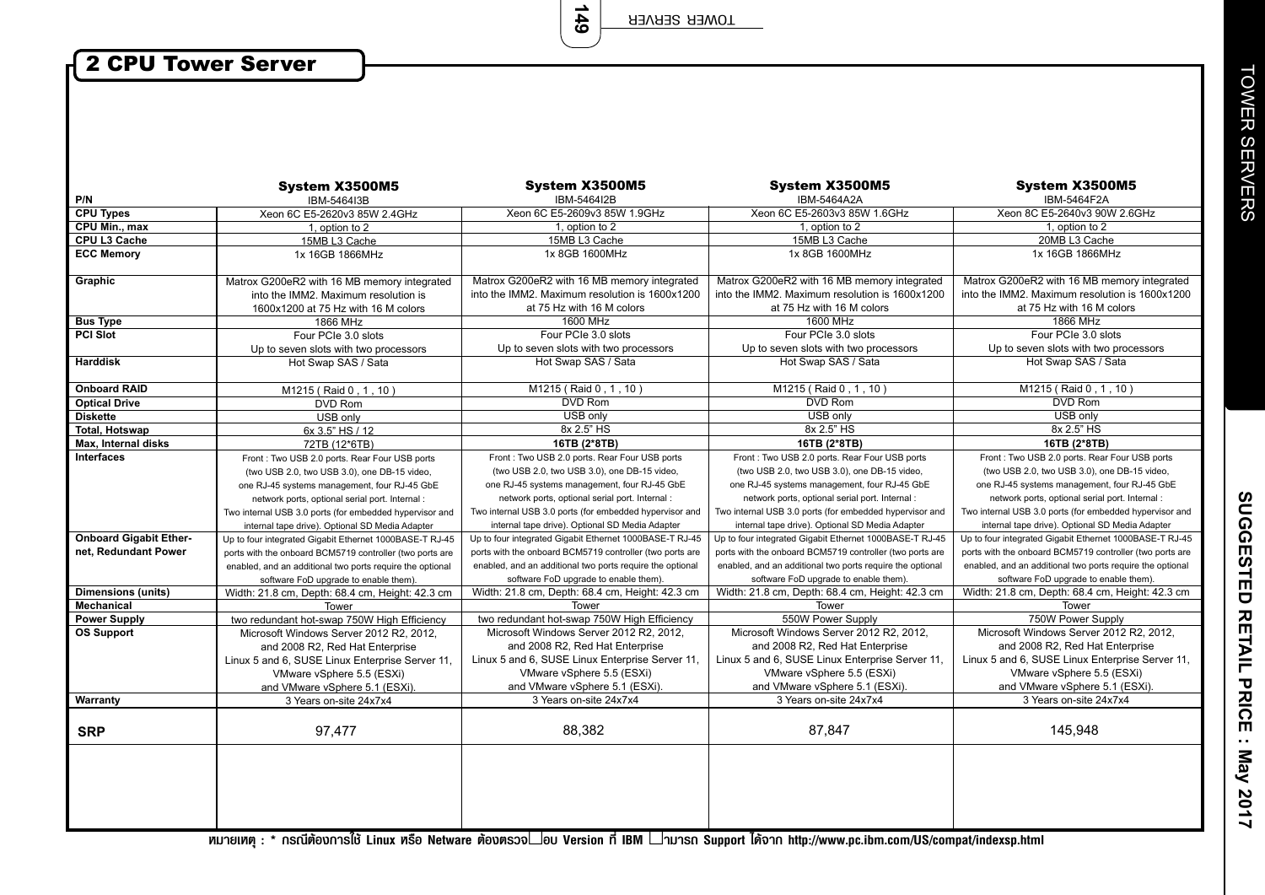**149**

## 2 CPU Tower Server

 $\overline{\phantom{a}}$ 

|                               | System X3500M5                                            | System X3500M5                                            | System X3500M5                                            | System X3500M5                                            |
|-------------------------------|-----------------------------------------------------------|-----------------------------------------------------------|-----------------------------------------------------------|-----------------------------------------------------------|
| P/N                           | IBM-5464I3B                                               | IBM-5464I2B                                               | IBM-5464A2A                                               | IBM-5464F2A                                               |
| <b>CPU Types</b>              | Xeon 6C E5-2620v3 85W 2.4GHz                              | Xeon 6C E5-2609v3 85W 1.9GHz                              | Xeon 6C E5-2603v3 85W 1.6GHz                              | Xeon 8C E5-2640v3 90W 2.6GHz                              |
| CPU Min., max                 | 1, option to 2                                            | 1, option to 2                                            | 1, option to 2                                            | 1, option to 2                                            |
| CPU L3 Cache                  | 15MB L3 Cache                                             | 15MB L3 Cache                                             | 15MB L3 Cache                                             | 20MB L3 Cache                                             |
| <b>ECC Memory</b>             | 1x 16GB 1866MHz                                           | 1x 8GB 1600MHz                                            | 1x 8GB 1600MHz                                            | 1x 16GB 1866MHz                                           |
|                               |                                                           |                                                           |                                                           |                                                           |
| Graphic                       | Matrox G200eR2 with 16 MB memory integrated               | Matrox G200eR2 with 16 MB memory integrated               | Matrox G200eR2 with 16 MB memory integrated               | Matrox G200eR2 with 16 MB memory integrated               |
|                               | into the IMM2. Maximum resolution is                      | into the IMM2. Maximum resolution is 1600x1200            | into the IMM2. Maximum resolution is 1600x1200            | into the IMM2. Maximum resolution is 1600x1200            |
|                               | 1600x1200 at 75 Hz with 16 M colors                       | at 75 Hz with 16 M colors                                 | at 75 Hz with 16 M colors                                 | at 75 Hz with 16 M colors                                 |
| <b>Bus Type</b>               | 1866 MHz                                                  | 1600 MHz                                                  | 1600 MHz                                                  | 1866 MHz                                                  |
| <b>PCI Slot</b>               | Four PCIe 3.0 slots                                       | Four PCIe 3.0 slots                                       | Four PCIe 3.0 slots                                       | Four PCIe 3.0 slots                                       |
|                               | Up to seven slots with two processors                     | Up to seven slots with two processors                     | Up to seven slots with two processors                     | Up to seven slots with two processors                     |
| <b>Harddisk</b>               | Hot Swap SAS / Sata                                       | Hot Swap SAS / Sata                                       | Hot Swap SAS / Sata                                       | Hot Swap SAS / Sata                                       |
| <b>Onboard RAID</b>           | M1215 (Raid 0, 1, 10)                                     | M1215 (Raid 0, 1, 10)                                     | M1215 (Raid 0, 1, 10)                                     | M1215 (Raid 0, 1, 10)                                     |
| <b>Optical Drive</b>          | <b>DVD Rom</b>                                            | <b>DVD Rom</b>                                            | <b>DVD Rom</b>                                            | <b>DVD Rom</b>                                            |
| <b>Diskette</b>               | USB only                                                  | USB only                                                  | USB only                                                  | USB only                                                  |
| <b>Total. Hotswap</b>         | 6x 3.5" HS / 12                                           | 8x 2.5" HS                                                | 8x 2.5" HS                                                | 8x 2.5" HS                                                |
| <b>Max. Internal disks</b>    | 72TB (12*6TB)                                             | 16TB (2*8TB)                                              | 16TB (2*8TB)                                              | 16TB (2*8TB)                                              |
| <b>Interfaces</b>             | Front: Two USB 2.0 ports. Rear Four USB ports             | Front: Two USB 2.0 ports. Rear Four USB ports             | Front: Two USB 2.0 ports. Rear Four USB ports             | Front: Two USB 2.0 ports. Rear Four USB ports             |
|                               | (two USB 2.0, two USB 3.0), one DB-15 video,              | (two USB 2.0, two USB 3.0), one DB-15 video,              | (two USB 2.0, two USB 3.0), one DB-15 video,              | (two USB 2.0, two USB 3.0), one DB-15 video,              |
|                               | one RJ-45 systems management, four RJ-45 GbE              | one RJ-45 systems management, four RJ-45 GbE              | one RJ-45 systems management, four RJ-45 GbE              | one RJ-45 systems management, four RJ-45 GbE              |
|                               | network ports, optional serial port. Internal :           | network ports, optional serial port. Internal :           | network ports, optional serial port. Internal:            | network ports, optional serial port. Internal :           |
|                               | Two internal USB 3.0 ports (for embedded hypervisor and   | Two internal USB 3.0 ports (for embedded hypervisor and   | Two internal USB 3.0 ports (for embedded hypervisor and   | Two internal USB 3.0 ports (for embedded hypervisor and   |
|                               | internal tape drive). Optional SD Media Adapter           | internal tape drive). Optional SD Media Adapter           | internal tape drive). Optional SD Media Adapter           | internal tape drive). Optional SD Media Adapter           |
| <b>Onboard Gigabit Ether-</b> | Up to four integrated Gigabit Ethernet 1000BASE-T RJ-45   | Up to four integrated Gigabit Ethernet 1000BASE-T RJ-45   | Up to four integrated Gigabit Ethernet 1000BASE-T RJ-45   | Up to four integrated Gigabit Ethernet 1000BASE-T RJ-45   |
| net, Redundant Power          | ports with the onboard BCM5719 controller (two ports are  | ports with the onboard BCM5719 controller (two ports are  | ports with the onboard BCM5719 controller (two ports are  | ports with the onboard BCM5719 controller (two ports are  |
|                               | enabled, and an additional two ports require the optional | enabled, and an additional two ports require the optional | enabled, and an additional two ports require the optional | enabled, and an additional two ports require the optional |
|                               | software FoD upgrade to enable them).                     | software FoD upgrade to enable them).                     | software FoD upgrade to enable them).                     | software FoD upgrade to enable them).                     |
| <b>Dimensions (units)</b>     | Width: 21.8 cm, Depth: 68.4 cm, Height: 42.3 cm           | Width: 21.8 cm, Depth: 68.4 cm, Height: 42.3 cm           | Width: 21.8 cm, Depth: 68.4 cm, Height: 42.3 cm           | Width: 21.8 cm, Depth: 68.4 cm, Height: 42.3 cm           |
| <b>Mechanical</b>             | Tower                                                     | Tower                                                     | Tower                                                     | Tower                                                     |
| <b>Power Supply</b>           | two redundant hot-swap 750W High Efficiency               | two redundant hot-swap 750W High Efficiency               | 550W Power Supply                                         | 750W Power Supply                                         |
| <b>OS Support</b>             | Microsoft Windows Server 2012 R2, 2012,                   | Microsoft Windows Server 2012 R2, 2012,                   | Microsoft Windows Server 2012 R2, 2012,                   | Microsoft Windows Server 2012 R2, 2012,                   |
|                               | and 2008 R2, Red Hat Enterprise                           | and 2008 R2, Red Hat Enterprise                           | and 2008 R2, Red Hat Enterprise                           | and 2008 R2, Red Hat Enterprise                           |
|                               | Linux 5 and 6, SUSE Linux Enterprise Server 11,           | Linux 5 and 6, SUSE Linux Enterprise Server 11,           | Linux 5 and 6, SUSE Linux Enterprise Server 11,           | Linux 5 and 6, SUSE Linux Enterprise Server 11,           |
|                               | VMware vSphere 5.5 (ESXi)                                 | VMware vSphere 5.5 (ESXi)                                 | VMware vSphere 5.5 (ESXi)                                 | VMware vSphere 5.5 (ESXi)                                 |
|                               | and VMware vSphere 5.1 (ESXi).                            | and VMware vSphere 5.1 (ESXi).                            | and VMware vSphere 5.1 (ESXi).                            | and VMware vSphere 5.1 (ESXi).                            |
| Warranty                      | 3 Years on-site 24x7x4                                    | 3 Years on-site 24x7x4                                    | 3 Years on-site 24x7x4                                    | 3 Years on-site 24x7x4                                    |
|                               |                                                           |                                                           |                                                           |                                                           |
| <b>SRP</b>                    | 97,477                                                    | 88,382                                                    | 87,847                                                    | 145,948                                                   |
|                               |                                                           |                                                           |                                                           |                                                           |
|                               |                                                           |                                                           |                                                           |                                                           |

**TOWER SERVERS** TOWER SERVERS

SUGGESTED RETAIL PRICE : May 2017 **SUGGESTED RETAIL PRICE : May 2017**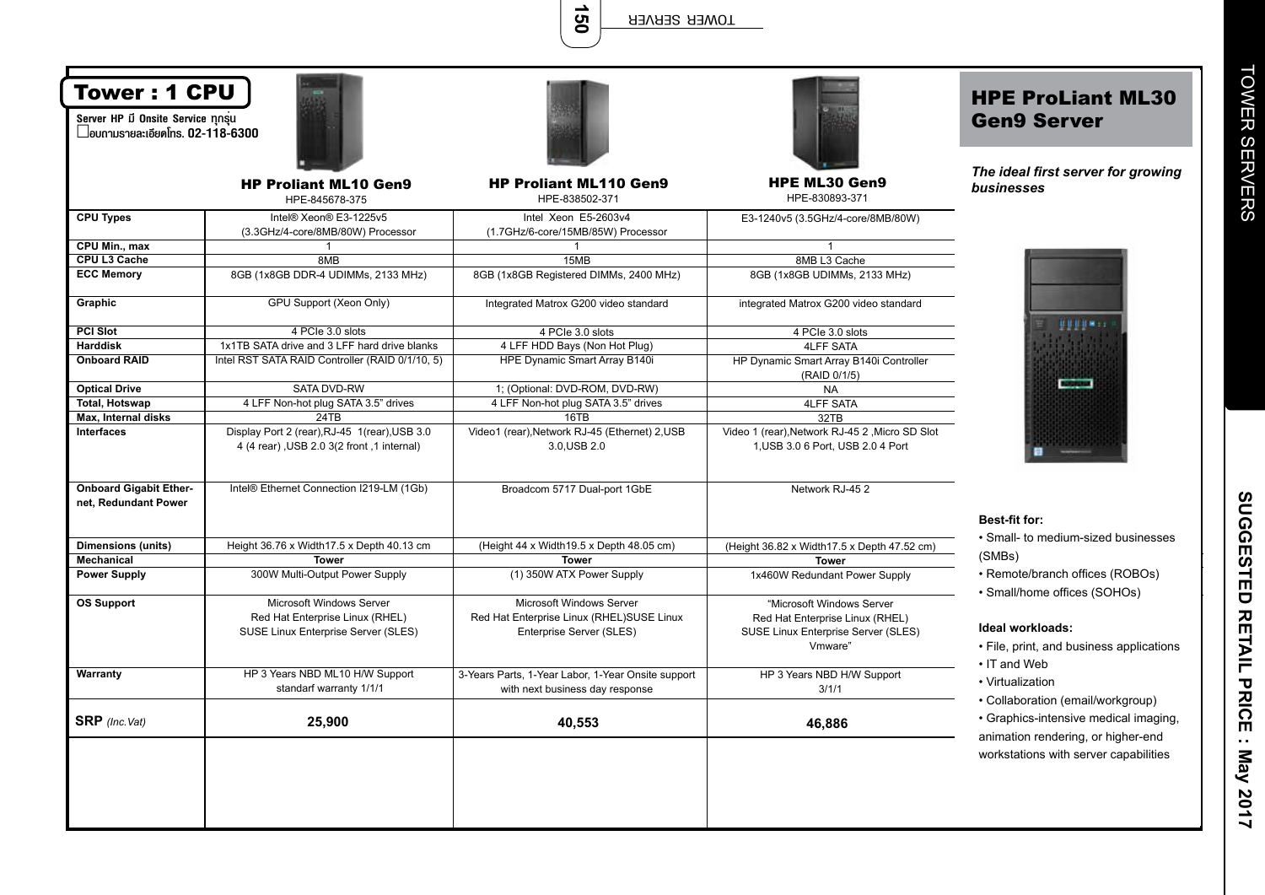150

| <b>Tower: 1 CPU</b><br>Server HP มี Onsite Service nnsu<br>$\Box$ อบกามรายละเอียดโทร. 02-118-6300 |                                                                                                    |                                                                                                   |                                                                                                                | <b>HPE ProLiant ML30</b><br><b>Gen9 Server</b>                                                                   |
|---------------------------------------------------------------------------------------------------|----------------------------------------------------------------------------------------------------|---------------------------------------------------------------------------------------------------|----------------------------------------------------------------------------------------------------------------|------------------------------------------------------------------------------------------------------------------|
|                                                                                                   | <b>HP Proliant ML10 Gen9</b><br>HPE-845678-375                                                     | <b>HP Proliant ML110 Gen9</b><br>HPE-838502-371                                                   | <b>HPE ML30 Gen9</b><br>HPE-830893-371                                                                         | The ideal first server for growing<br>businesses                                                                 |
| <b>CPU Types</b>                                                                                  | Intel® Xeon® E3-1225v5<br>(3.3GHz/4-core/8MB/80W) Processor                                        | Intel Xeon E5-2603v4<br>(1.7GHz/6-core/15MB/85W) Processor                                        | E3-1240v5 (3.5GHz/4-core/8MB/80W)                                                                              |                                                                                                                  |
| CPU Min., max                                                                                     |                                                                                                    | 1                                                                                                 |                                                                                                                |                                                                                                                  |
| CPU L3 Cache                                                                                      | 8MB                                                                                                | 15MB                                                                                              | 8MB L3 Cache                                                                                                   |                                                                                                                  |
| <b>ECC Memory</b>                                                                                 | 8GB (1x8GB DDR-4 UDIMMs, 2133 MHz)                                                                 | 8GB (1x8GB Registered DIMMs, 2400 MHz)                                                            | 8GB (1x8GB UDIMMs, 2133 MHz)                                                                                   |                                                                                                                  |
| Graphic                                                                                           | GPU Support (Xeon Only)                                                                            | Integrated Matrox G200 video standard                                                             | integrated Matrox G200 video standard                                                                          |                                                                                                                  |
| <b>PCI Slot</b>                                                                                   | 4 PCIe 3.0 slots                                                                                   | 4 PCIe 3.0 slots                                                                                  | 4 PCIe 3.0 slots                                                                                               | 単純化解体                                                                                                            |
| <b>Harddisk</b>                                                                                   | 1x1TB SATA drive and 3 LFF hard drive blanks                                                       | 4 LFF HDD Bays (Non Hot Plug)                                                                     | <b>4LFF SATA</b>                                                                                               |                                                                                                                  |
| <b>Onboard RAID</b>                                                                               | Intel RST SATA RAID Controller (RAID 0/1/10, 5)                                                    | HPE Dynamic Smart Array B140i                                                                     | HP Dynamic Smart Array B140i Controller<br>(RAID 0/1/5)                                                        |                                                                                                                  |
| <b>Optical Drive</b>                                                                              | SATA DVD-RW                                                                                        | 1; (Optional: DVD-ROM, DVD-RW)                                                                    | <b>NA</b>                                                                                                      | <b>BERGHAM</b>                                                                                                   |
| <b>Total, Hotswap</b>                                                                             | 4 LFF Non-hot plug SATA 3.5" drives                                                                | 4 LFF Non-hot plug SATA 3.5" drives                                                               | <b>4LFF SATA</b>                                                                                               |                                                                                                                  |
| Max, Internal disks                                                                               | 24TB                                                                                               | 16TB                                                                                              | 32TB                                                                                                           |                                                                                                                  |
| <b>Interfaces</b>                                                                                 | Display Port 2 (rear), RJ-45 1(rear), USB 3.0<br>4 (4 rear), USB 2.0 3(2 front, 1 internal)        | Video1 (rear), Network RJ-45 (Ethernet) 2, USB<br>3.0, USB 2.0                                    | Video 1 (rear), Network RJ-45 2, Micro SD Slot<br>1, USB 3.0 6 Port, USB 2.0 4 Port                            |                                                                                                                  |
| <b>Onboard Gigabit Ether-</b><br>net, Redundant Power                                             | Intel® Ethernet Connection I219-LM (1Gb)                                                           | Broadcom 5717 Dual-port 1GbE                                                                      | Network RJ-452                                                                                                 |                                                                                                                  |
|                                                                                                   |                                                                                                    |                                                                                                   |                                                                                                                | <b>Best-fit for:</b>                                                                                             |
| <b>Dimensions (units)</b>                                                                         | Height 36.76 x Width 17.5 x Depth 40.13 cm                                                         | (Height 44 x Width 19.5 x Depth 48.05 cm)                                                         | (Height 36.82 x Width 17.5 x Depth 47.52 cm)                                                                   | · Small- to medium-sized businesses                                                                              |
| Mechanical                                                                                        | <b>Tower</b>                                                                                       | <b>Tower</b>                                                                                      | <b>Tower</b>                                                                                                   | (SMBs)                                                                                                           |
| <b>Power Supply</b>                                                                               | 300W Multi-Output Power Supply                                                                     | (1) 350W ATX Power Supply                                                                         | 1x460W Redundant Power Supply                                                                                  | • Remote/branch offices (ROBOs)<br>· Small/home offices (SOHOs)                                                  |
| <b>OS Support</b>                                                                                 | Microsoft Windows Server<br>Red Hat Enterprise Linux (RHEL)<br>SUSE Linux Enterprise Server (SLES) | Microsoft Windows Server<br>Red Hat Enterprise Linux (RHEL)SUSE Linux<br>Enterprise Server (SLES) | "Microsoft Windows Server<br>Red Hat Enterprise Linux (RHEL)<br>SUSE Linux Enterprise Server (SLES)<br>Vmware" | Ideal workloads:<br>• File, print, and business applications<br>• IT and Web                                     |
| Warranty                                                                                          | HP 3 Years NBD ML10 H/W Support<br>standarf warranty 1/1/1                                         | 3-Years Parts, 1-Year Labor, 1-Year Onsite support<br>with next business day response             | HP 3 Years NBD H/W Support<br>3/1/1                                                                            | • Virtualization                                                                                                 |
| <b>SRP</b> (Inc. Vat)                                                                             | 25,900                                                                                             | 40,553                                                                                            | 46,886                                                                                                         | • Collaboration (email/workgroup)<br>· Graphics-intensive medical imaging,<br>animation rendering, or higher-end |
|                                                                                                   |                                                                                                    |                                                                                                   |                                                                                                                | workstations with server capabilities                                                                            |